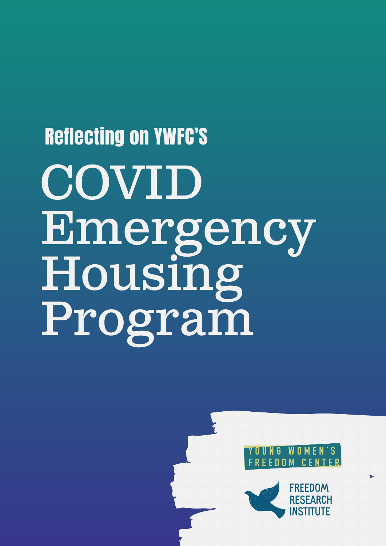## Reflecting on YWFC'S COVID Emergency Housing Program



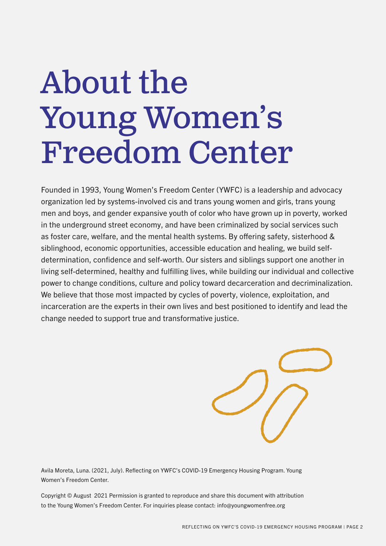## About the Young Women's Freedom Center

Founded in 1993, Young Women's Freedom Center (YWFC) is a leadership and advocacy organization led by systems-involved cis and trans young women and girls, trans young men and boys, and gender expansive youth of color who have grown up in poverty, worked in the underground street economy, and have been criminalized by social services such as foster care, welfare, and the mental health systems. By offering safety, sisterhood & siblinghood, economic opportunities, accessible education and healing, we build selfdetermination, confidence and self-worth. Our sisters and siblings support one another in living self-determined, healthy and fulfilling lives, while building our individual and collective power to change conditions, culture and policy toward decarceration and decriminalization. We believe that those most impacted by cycles of poverty, violence, exploitation, and incarceration are the experts in their own lives and best positioned to identify and lead the change needed to support true and transformative justice.

Avila Moreta, Luna. (2021, July). Reflecting on YWFC's COVID-19 Emergency Housing Program. Young Women's Freedom Center.

Copyright © August 2021 Permission is granted to reproduce and share this document with attribution to the Young Women's Freedom Center. For inquiries please contact: info@youngwomenfree.org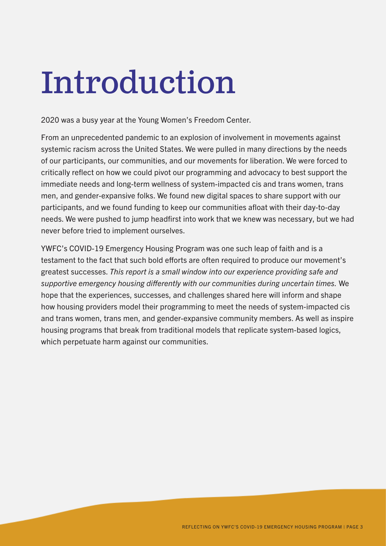## Introduction

2020 was a busy year at the Young Women's Freedom Center.

From an unprecedented pandemic to an explosion of involvement in movements against systemic racism across the United States. We were pulled in many directions by the needs of our participants, our communities, and our movements for liberation. We were forced to critically reflect on how we could pivot our programming and advocacy to best support the immediate needs and long-term wellness of system-impacted cis and trans women, trans men, and gender-expansive folks. We found new digital spaces to share support with our participants, and we found funding to keep our communities afloat with their day-to-day needs. We were pushed to jump headfirst into work that we knew was necessary, but we had never before tried to implement ourselves.

YWFC's COVID-19 Emergency Housing Program was one such leap of faith and is a testament to the fact that such bold efforts are often required to produce our movement's greatest successes. *This report is a small window into our experience providing safe and supportive emergency housing differently with our communities during uncertain times.* We hope that the experiences, successes, and challenges shared here will inform and shape how housing providers model their programming to meet the needs of system-impacted cis and trans women, trans men, and gender-expansive community members. As well as inspire housing programs that break from traditional models that replicate system-based logics, which perpetuate harm against our communities.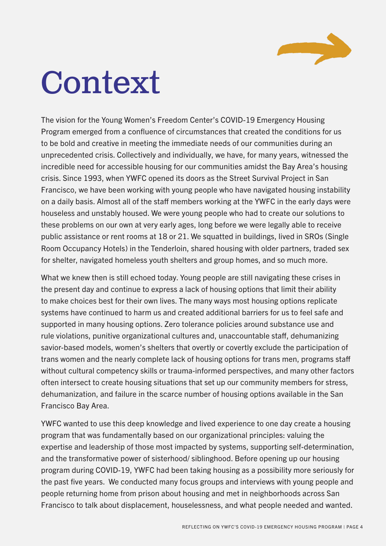

## Context

The vision for the Young Women's Freedom Center's COVID-19 Emergency Housing Program emerged from a confluence of circumstances that created the conditions for us to be bold and creative in meeting the immediate needs of our communities during an unprecedented crisis. Collectively and individually, we have, for many years, witnessed the incredible need for accessible housing for our communities amidst the Bay Area's housing crisis. Since 1993, when YWFC opened its doors as the Street Survival Project in San Francisco, we have been working with young people who have navigated housing instability on a daily basis. Almost all of the staff members working at the YWFC in the early days were houseless and unstably housed. We were young people who had to create our solutions to these problems on our own at very early ages, long before we were legally able to receive public assistance or rent rooms at 18 or 21. We squatted in buildings, lived in SROs (Single Room Occupancy Hotels) in the Tenderloin, shared housing with older partners, traded sex for shelter, navigated homeless youth shelters and group homes, and so much more.

What we knew then is still echoed today. Young people are still navigating these crises in the present day and continue to express a lack of housing options that limit their ability to make choices best for their own lives. The many ways most housing options replicate systems have continued to harm us and created additional barriers for us to feel safe and supported in many housing options. Zero tolerance policies around substance use and rule violations, punitive organizational cultures and, unaccountable staff, dehumanizing savior-based models, women's shelters that overtly or covertly exclude the participation of trans women and the nearly complete lack of housing options for trans men, programs staff without cultural competency skills or trauma-informed perspectives, and many other factors often intersect to create housing situations that set up our community members for stress, dehumanization, and failure in the scarce number of housing options available in the San Francisco Bay Area.

YWFC wanted to use this deep knowledge and lived experience to one day create a housing program that was fundamentally based on our organizational principles: valuing the expertise and leadership of those most impacted by systems, supporting self-determination, and the transformative power of sisterhood/ siblinghood. Before opening up our housing program during COVID-19, YWFC had been taking housing as a possibility more seriously for the past five years. We conducted many focus groups and interviews with young people and people returning home from prison about housing and met in neighborhoods across San Francisco to talk about displacement, houselessness, and what people needed and wanted.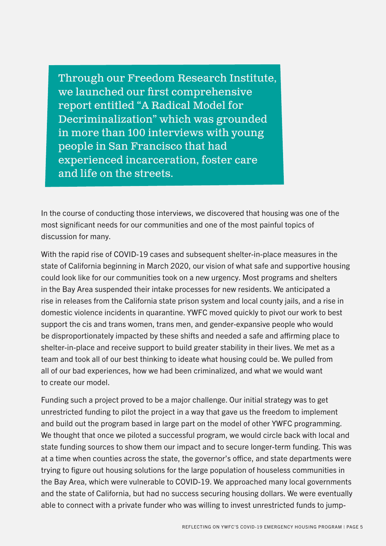Through our Freedom Research Institute, we launched our first comprehensive report entitled "A Radical Model for Decriminalization" which was grounded in more than 100 interviews with young people in San Francisco that had experienced incarceration, foster care and life on the streets.

In the course of conducting those interviews, we discovered that housing was one of the most significant needs for our communities and one of the most painful topics of discussion for many.

With the rapid rise of COVID-19 cases and subsequent shelter-in-place measures in the state of California beginning in March 2020, our vision of what safe and supportive housing could look like for our communities took on a new urgency. Most programs and shelters in the Bay Area suspended their intake processes for new residents. We anticipated a rise in releases from the California state prison system and local county jails, and a rise in domestic violence incidents in quarantine. YWFC moved quickly to pivot our work to best support the cis and trans women, trans men, and gender-expansive people who would be disproportionately impacted by these shifts and needed a safe and affirming place to shelter-in-place and receive support to build greater stability in their lives. We met as a team and took all of our best thinking to ideate what housing could be. We pulled from all of our bad experiences, how we had been criminalized, and what we would want to create our model.

Funding such a project proved to be a major challenge. Our initial strategy was to get unrestricted funding to pilot the project in a way that gave us the freedom to implement and build out the program based in large part on the model of other YWFC programming. We thought that once we piloted a successful program, we would circle back with local and state funding sources to show them our impact and to secure longer-term funding. This was at a time when counties across the state, the governor's office, and state departments were trying to figure out housing solutions for the large population of houseless communities in the Bay Area, which were vulnerable to COVID-19. We approached many local governments and the state of California, but had no success securing housing dollars. We were eventually able to connect with a private funder who was willing to invest unrestricted funds to jump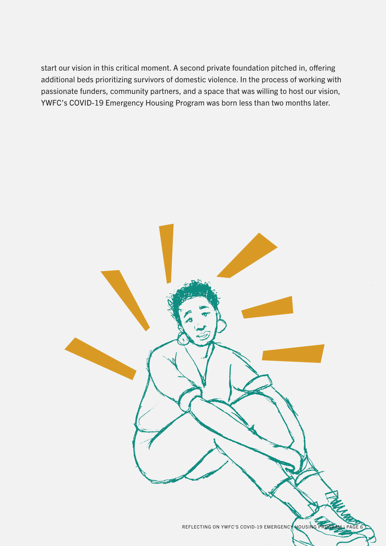start our vision in this critical moment. A second private foundation pitched in, offering additional beds prioritizing survivors of domestic violence. In the process of working with passionate funders, community partners, and a space that was willing to host our vision, YWFC's COVID-19 Emergency Housing Program was born less than two months later.

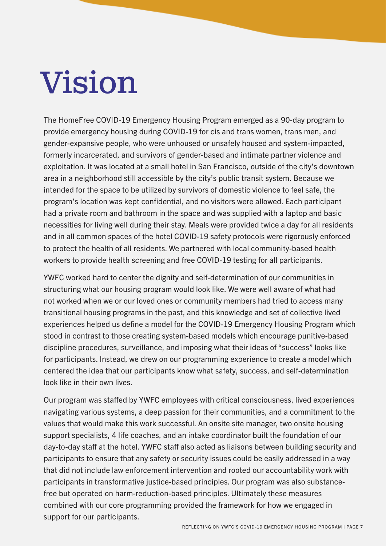## Vision

The HomeFree COVID-19 Emergency Housing Program emerged as a 90-day program to provide emergency housing during COVID-19 for cis and trans women, trans men, and gender-expansive people, who were unhoused or unsafely housed and system-impacted, formerly incarcerated, and survivors of gender-based and intimate partner violence and exploitation. It was located at a small hotel in San Francisco, outside of the city's downtown area in a neighborhood still accessible by the city's public transit system. Because we intended for the space to be utilized by survivors of domestic violence to feel safe, the program's location was kept confidential, and no visitors were allowed. Each participant had a private room and bathroom in the space and was supplied with a laptop and basic necessities for living well during their stay. Meals were provided twice a day for all residents and in all common spaces of the hotel COVID-19 safety protocols were rigorously enforced to protect the health of all residents. We partnered with local community-based health workers to provide health screening and free COVID-19 testing for all participants.

YWFC worked hard to center the dignity and self-determination of our communities in structuring what our housing program would look like. We were well aware of what had not worked when we or our loved ones or community members had tried to access many transitional housing programs in the past, and this knowledge and set of collective lived experiences helped us define a model for the COVID-19 Emergency Housing Program which stood in contrast to those creating system-based models which encourage punitive-based discipline procedures, surveillance, and imposing what their ideas of "success" looks like for participants. Instead, we drew on our programming experience to create a model which centered the idea that our participants know what safety, success, and self-determination look like in their own lives.

Our program was staffed by YWFC employees with critical consciousness, lived experiences navigating various systems, a deep passion for their communities, and a commitment to the values that would make this work successful. An onsite site manager, two onsite housing support specialists, 4 life coaches, and an intake coordinator built the foundation of our day-to-day staff at the hotel. YWFC staff also acted as liaisons between building security and participants to ensure that any safety or security issues could be easily addressed in a way that did not include law enforcement intervention and rooted our accountability work with participants in transformative justice-based principles. Our program was also substancefree but operated on harm-reduction-based principles. Ultimately these measures combined with our core programming provided the framework for how we engaged in support for our participants.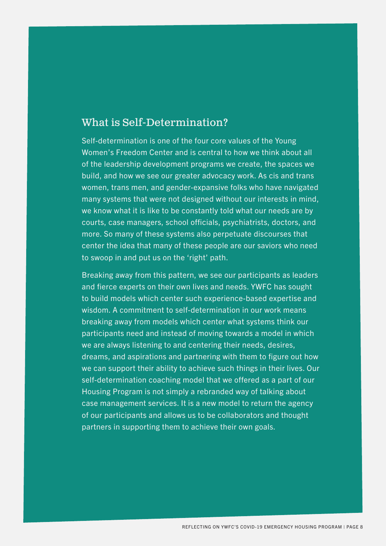#### What is Self-Determination?

Self-determination is one of the four core values of the Young Women's Freedom Center and is central to how we think about all of the leadership development programs we create, the spaces we build, and how we see our greater advocacy work. As cis and trans women, trans men, and gender-expansive folks who have navigated many systems that were not designed without our interests in mind, we know what it is like to be constantly told what our needs are by courts, case managers, school officials, psychiatrists, doctors, and more. So many of these systems also perpetuate discourses that center the idea that many of these people are our saviors who need to swoop in and put us on the 'right' path.

Breaking away from this pattern, we see our participants as leaders and fierce experts on their own lives and needs. YWFC has sought to build models which center such experience-based expertise and wisdom. A commitment to self-determination in our work means breaking away from models which center what systems think our participants need and instead of moving towards a model in which we are always listening to and centering their needs, desires, dreams, and aspirations and partnering with them to figure out how we can support their ability to achieve such things in their lives. Our self-determination coaching model that we offered as a part of our Housing Program is not simply a rebranded way of talking about case management services. It is a new model to return the agency of our participants and allows us to be collaborators and thought partners in supporting them to achieve their own goals.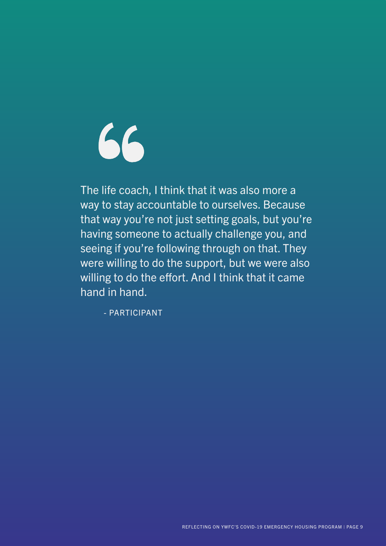66

The life coach, I think that it was also more a way to stay accountable to ourselves. Because that way you're not just setting goals, but you're having someone to actually challenge you, and seeing if you're following through on that. They were willing to do the support, but we were also willing to do the effort. And I think that it came hand in hand.

- PARTICIPANT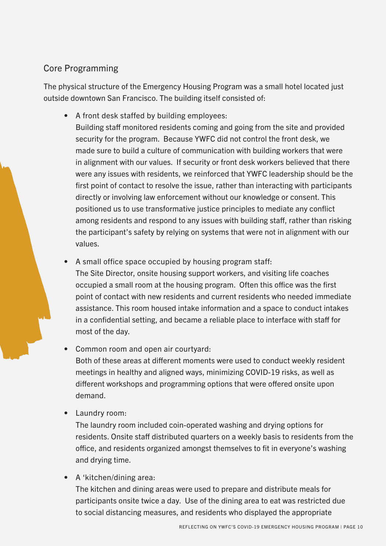#### Core Programming

The physical structure of the Emergency Housing Program was a small hotel located just outside downtown San Francisco. The building itself consisted of:

- A front desk staffed by building employees:
	- Building staff monitored residents coming and going from the site and provided security for the program. Because YWFC did not control the front desk, we made sure to build a culture of communication with building workers that were in alignment with our values. If security or front desk workers believed that there were any issues with residents, we reinforced that YWFC leadership should be the first point of contact to resolve the issue, rather than interacting with participants directly or involving law enforcement without our knowledge or consent. This positioned us to use transformative justice principles to mediate any conflict among residents and respond to any issues with building staff, rather than risking the participant's safety by relying on systems that were not in alignment with our values.
- A small office space occupied by housing program staff: The Site Director, onsite housing support workers, and visiting life coaches occupied a small room at the housing program. Often this office was the first point of contact with new residents and current residents who needed immediate assistance. This room housed intake information and a space to conduct intakes in a confidential setting, and became a reliable place to interface with staff for most of the day.
- Common room and open air courtyard: Both of these areas at different moments were used to conduct weekly resident meetings in healthy and aligned ways, minimizing COVID-19 risks, as well as different workshops and programming options that were offered onsite upon demand.
- Laundry room:

The laundry room included coin-operated washing and drying options for residents. Onsite staff distributed quarters on a weekly basis to residents from the office, and residents organized amongst themselves to fit in everyone's washing and drying time.

• A 'kitchen/dining area:

The kitchen and dining areas were used to prepare and distribute meals for participants onsite twice a day. Use of the dining area to eat was restricted due to social distancing measures, and residents who displayed the appropriate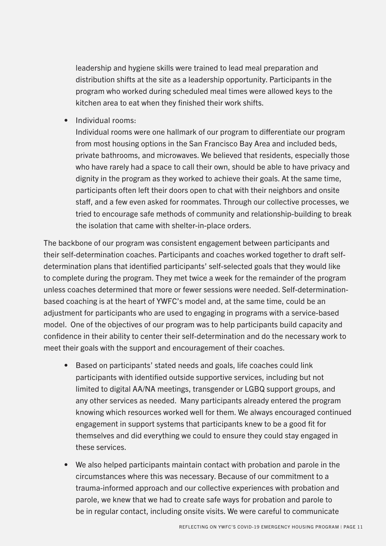leadership and hygiene skills were trained to lead meal preparation and distribution shifts at the site as a leadership opportunity. Participants in the program who worked during scheduled meal times were allowed keys to the kitchen area to eat when they finished their work shifts.

• Individual rooms:

Individual rooms were one hallmark of our program to differentiate our program from most housing options in the San Francisco Bay Area and included beds, private bathrooms, and microwaves. We believed that residents, especially those who have rarely had a space to call their own, should be able to have privacy and dignity in the program as they worked to achieve their goals. At the same time, participants often left their doors open to chat with their neighbors and onsite staff, and a few even asked for roommates. Through our collective processes, we tried to encourage safe methods of community and relationship-building to break the isolation that came with shelter-in-place orders.

The backbone of our program was consistent engagement between participants and their self-determination coaches. Participants and coaches worked together to draft selfdetermination plans that identified participants' self-selected goals that they would like to complete during the program. They met twice a week for the remainder of the program unless coaches determined that more or fewer sessions were needed. Self-determinationbased coaching is at the heart of YWFC's model and, at the same time, could be an adjustment for participants who are used to engaging in programs with a service-based model. One of the objectives of our program was to help participants build capacity and confidence in their ability to center their self-determination and do the necessary work to meet their goals with the support and encouragement of their coaches.

- Based on participants' stated needs and goals, life coaches could link participants with identified outside supportive services, including but not limited to digital AA/NA meetings, transgender or LGBQ support groups, and any other services as needed. Many participants already entered the program knowing which resources worked well for them. We always encouraged continued engagement in support systems that participants knew to be a good fit for themselves and did everything we could to ensure they could stay engaged in these services.
- We also helped participants maintain contact with probation and parole in the circumstances where this was necessary. Because of our commitment to a trauma-informed approach and our collective experiences with probation and parole, we knew that we had to create safe ways for probation and parole to be in regular contact, including onsite visits. We were careful to communicate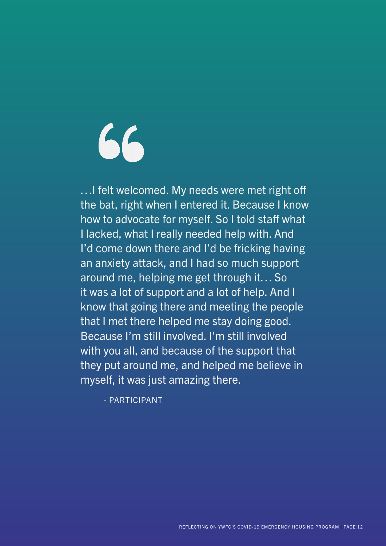# 66

…I felt welcomed. My needs were met right off the bat, right when I entered it. Because I know how to advocate for myself. So I told staff what I lacked, what I really needed help with. And I'd come down there and I'd be fricking having an anxiety attack, and I had so much support around me, helping me get through it… So it was a lot of support and a lot of help. And I know that going there and meeting the people that I met there helped me stay doing good. Because I'm still involved. I'm still involved with you all, and because of the support that they put around me, and helped me believe in myself, it was just amazing there.

- PARTICIPANT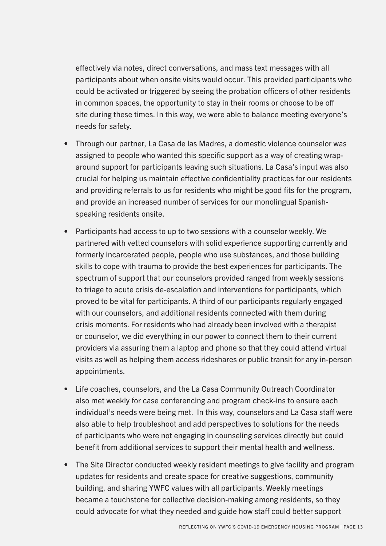effectively via notes, direct conversations, and mass text messages with all participants about when onsite visits would occur. This provided participants who could be activated or triggered by seeing the probation officers of other residents in common spaces, the opportunity to stay in their rooms or choose to be off site during these times. In this way, we were able to balance meeting everyone's needs for safety.

- Through our partner, La Casa de las Madres, a domestic violence counselor was assigned to people who wanted this specific support as a way of creating wraparound support for participants leaving such situations. La Casa's input was also crucial for helping us maintain effective confidentiality practices for our residents and providing referrals to us for residents who might be good fits for the program, and provide an increased number of services for our monolingual Spanishspeaking residents onsite.
- Participants had access to up to two sessions with a counselor weekly. We partnered with vetted counselors with solid experience supporting currently and formerly incarcerated people, people who use substances, and those building skills to cope with trauma to provide the best experiences for participants. The spectrum of support that our counselors provided ranged from weekly sessions to triage to acute crisis de-escalation and interventions for participants, which proved to be vital for participants. A third of our participants regularly engaged with our counselors, and additional residents connected with them during crisis moments. For residents who had already been involved with a therapist or counselor, we did everything in our power to connect them to their current providers via assuring them a laptop and phone so that they could attend virtual visits as well as helping them access rideshares or public transit for any in-person appointments.
- Life coaches, counselors, and the La Casa Community Outreach Coordinator also met weekly for case conferencing and program check-ins to ensure each individual's needs were being met. In this way, counselors and La Casa staff were also able to help troubleshoot and add perspectives to solutions for the needs of participants who were not engaging in counseling services directly but could benefit from additional services to support their mental health and wellness.
- The Site Director conducted weekly resident meetings to give facility and program updates for residents and create space for creative suggestions, community building, and sharing YWFC values with all participants. Weekly meetings became a touchstone for collective decision-making among residents, so they could advocate for what they needed and guide how staff could better support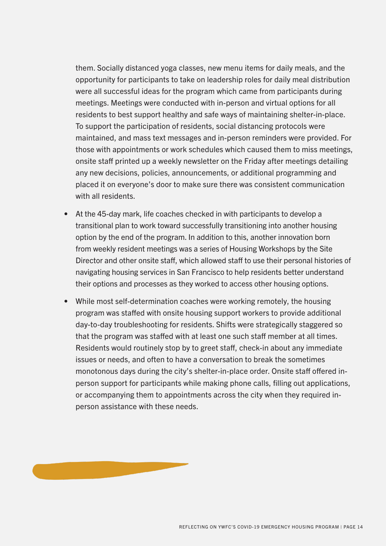them. Socially distanced yoga classes, new menu items for daily meals, and the opportunity for participants to take on leadership roles for daily meal distribution were all successful ideas for the program which came from participants during meetings. Meetings were conducted with in-person and virtual options for all residents to best support healthy and safe ways of maintaining shelter-in-place. To support the participation of residents, social distancing protocols were maintained, and mass text messages and in-person reminders were provided. For those with appointments or work schedules which caused them to miss meetings, onsite staff printed up a weekly newsletter on the Friday after meetings detailing any new decisions, policies, announcements, or additional programming and placed it on everyone's door to make sure there was consistent communication with all residents

- At the 45-day mark, life coaches checked in with participants to develop a transitional plan to work toward successfully transitioning into another housing option by the end of the program. In addition to this, another innovation born from weekly resident meetings was a series of Housing Workshops by the Site Director and other onsite staff, which allowed staff to use their personal histories of navigating housing services in San Francisco to help residents better understand their options and processes as they worked to access other housing options.
- While most self-determination coaches were working remotely, the housing program was staffed with onsite housing support workers to provide additional day-to-day troubleshooting for residents. Shifts were strategically staggered so that the program was staffed with at least one such staff member at all times. Residents would routinely stop by to greet staff, check-in about any immediate issues or needs, and often to have a conversation to break the sometimes monotonous days during the city's shelter-in-place order. Onsite staff offered inperson support for participants while making phone calls, filling out applications, or accompanying them to appointments across the city when they required inperson assistance with these needs.

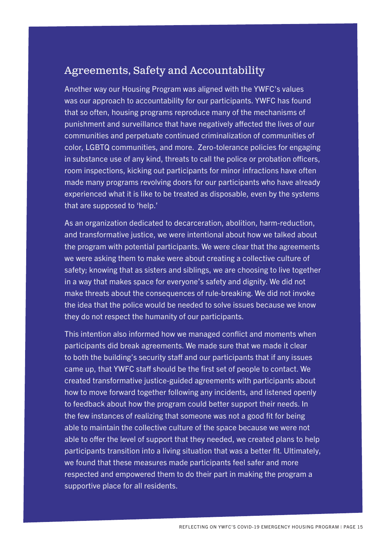#### Agreements, Safety and Accountability

Another way our Housing Program was aligned with the YWFC's values was our approach to accountability for our participants. YWFC has found that so often, housing programs reproduce many of the mechanisms of punishment and surveillance that have negatively affected the lives of our communities and perpetuate continued criminalization of communities of color, LGBTQ communities, and more. Zero-tolerance policies for engaging in substance use of any kind, threats to call the police or probation officers, room inspections, kicking out participants for minor infractions have often made many programs revolving doors for our participants who have already experienced what it is like to be treated as disposable, even by the systems that are supposed to 'help.'

As an organization dedicated to decarceration, abolition, harm-reduction, and transformative justice, we were intentional about how we talked about the program with potential participants. We were clear that the agreements we were asking them to make were about creating a collective culture of safety; knowing that as sisters and siblings, we are choosing to live together in a way that makes space for everyone's safety and dignity. We did not make threats about the consequences of rule-breaking. We did not invoke the idea that the police would be needed to solve issues because we know they do not respect the humanity of our participants.

This intention also informed how we managed conflict and moments when participants did break agreements. We made sure that we made it clear to both the building's security staff and our participants that if any issues came up, that YWFC staff should be the first set of people to contact. We created transformative justice-guided agreements with participants about how to move forward together following any incidents, and listened openly to feedback about how the program could better support their needs. In the few instances of realizing that someone was not a good fit for being able to maintain the collective culture of the space because we were not able to offer the level of support that they needed, we created plans to help participants transition into a living situation that was a better fit. Ultimately, we found that these measures made participants feel safer and more respected and empowered them to do their part in making the program a supportive place for all residents.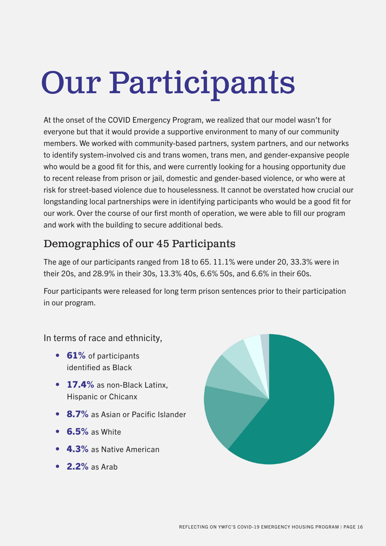## Our Participants

At the onset of the COVID Emergency Program, we realized that our model wasn't for everyone but that it would provide a supportive environment to many of our community members. We worked with community-based partners, system partners, and our networks to identify system-involved cis and trans women, trans men, and gender-expansive people who would be a good fit for this, and were currently looking for a housing opportunity due to recent release from prison or jail, domestic and gender-based violence, or who were at risk for street-based violence due to houselessness. It cannot be overstated how crucial our longstanding local partnerships were in identifying participants who would be a good fit for our work. Over the course of our first month of operation, we were able to fill our program and work with the building to secure additional beds.

#### Demographics of our 45 Participants

The age of our participants ranged from 18 to 65. 11.1% were under 20, 33.3% were in their 20s, and 28.9% in their 30s, 13.3% 40s, 6.6% 50s, and 6.6% in their 60s.

Four participants were released for long term prison sentences prior to their participation in our program.

In terms of race and ethnicity,

- 61% of participants identified as Black
- 17.4% as non-Black Latinx, Hispanic or Chicanx
- 8.7% as Asian or Pacific Islander
- $\cdot$  6.5% as White
- 4.3% as Native American
- **2.2%** as Arab

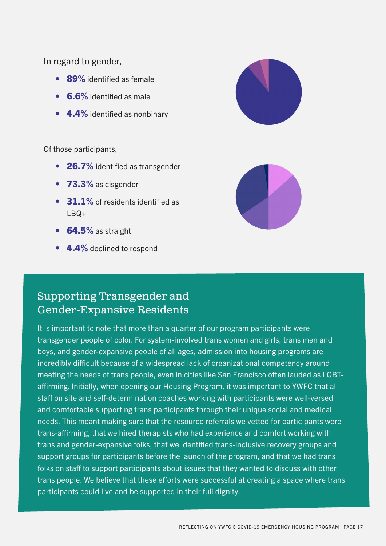In regard to gender,

- 89% identified as female
- **6.6%** identified as male
- 4.4% identified as nonbinary

Of those participants,

- 26.7% identified as transgender
- 73.3% as cisgender
- 31.1% of residents identified as  $IBQ+$
- **64.5%** as straight
- 4.4% declined to respond



#### Supporting Transgender and Gender-Expansive Residents

It is important to note that more than a quarter of our program participants were transgender people of color. For system-involved trans women and girls, trans men and boys, and gender-expansive people of all ages, admission into housing programs are incredibly difficult because of a widespread lack of organizational competency around meeting the needs of trans people, even in cities like San Francisco often lauded as LGBTaffirming. Initially, when opening our Housing Program, it was important to YWFC that all staff on site and self-determination coaches working with participants were well-versed and comfortable supporting trans participants through their unique social and medical needs. This meant making sure that the resource referrals we vetted for participants were trans-affirming, that we hired therapists who had experience and comfort working with trans and gender-expansive folks, that we identified trans-inclusive recovery groups and support groups for participants before the launch of the program, and that we had trans folks on staff to support participants about issues that they wanted to discuss with other trans people. We believe that these efforts were successful at creating a space where trans participants could live and be supported in their full dignity.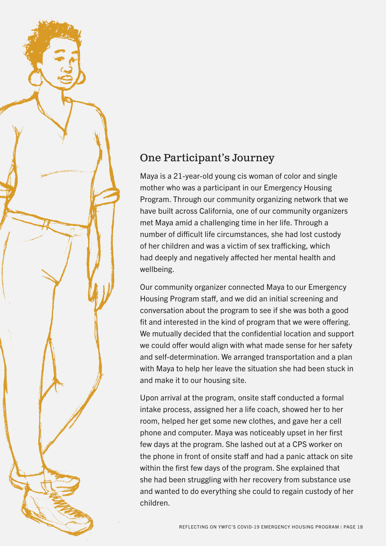### One Participant's Journey

Maya is a 21-year-old young cis woman of color and single mother who was a participant in our Emergency Housing Program. Through our community organizing network that we have built across California, one of our community organizers met Maya amid a challenging time in her life. Through a number of difficult life circumstances, she had lost custody of her children and was a victim of sex trafficking, which had deeply and negatively affected her mental health and wellbeing.

Our community organizer connected Maya to our Emergency Housing Program staff, and we did an initial screening and conversation about the program to see if she was both a good fit and interested in the kind of program that we were offering. We mutually decided that the confidential location and support we could offer would align with what made sense for her safety and self-determination. We arranged transportation and a plan with Maya to help her leave the situation she had been stuck in and make it to our housing site.

Upon arrival at the program, onsite staff conducted a formal intake process, assigned her a life coach, showed her to her room, helped her get some new clothes, and gave her a cell phone and computer. Maya was noticeably upset in her first few days at the program. She lashed out at a CPS worker on the phone in front of onsite staff and had a panic attack on site within the first few days of the program. She explained that she had been struggling with her recovery from substance use and wanted to do everything she could to regain custody of her children.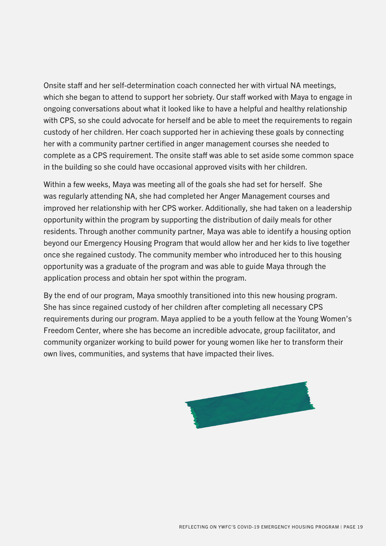Onsite staff and her self-determination coach connected her with virtual NA meetings, which she began to attend to support her sobriety. Our staff worked with Maya to engage in ongoing conversations about what it looked like to have a helpful and healthy relationship with CPS, so she could advocate for herself and be able to meet the requirements to regain custody of her children. Her coach supported her in achieving these goals by connecting her with a community partner certified in anger management courses she needed to complete as a CPS requirement. The onsite staff was able to set aside some common space in the building so she could have occasional approved visits with her children.

Within a few weeks, Maya was meeting all of the goals she had set for herself. She was regularly attending NA, she had completed her Anger Management courses and improved her relationship with her CPS worker. Additionally, she had taken on a leadership opportunity within the program by supporting the distribution of daily meals for other residents. Through another community partner, Maya was able to identify a housing option beyond our Emergency Housing Program that would allow her and her kids to live together once she regained custody. The community member who introduced her to this housing opportunity was a graduate of the program and was able to guide Maya through the application process and obtain her spot within the program.

By the end of our program, Maya smoothly transitioned into this new housing program. She has since regained custody of her children after completing all necessary CPS requirements during our program. Maya applied to be a youth fellow at the Young Women's Freedom Center, where she has become an incredible advocate, group facilitator, and community organizer working to build power for young women like her to transform their own lives, communities, and systems that have impacted their lives.

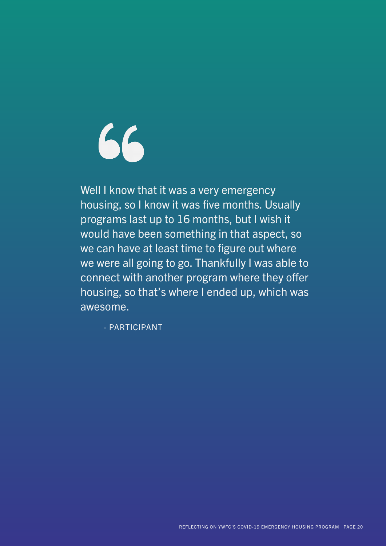$66$ 

Well I know that it was a very emergency housing, so I know it was five months. Usually programs last up to 16 months, but I wish it would have been something in that aspect, so we can have at least time to figure out where we were all going to go. Thankfully I was able to connect with another program where they offer housing, so that's where I ended up, which was awesome.

- PARTICIPANT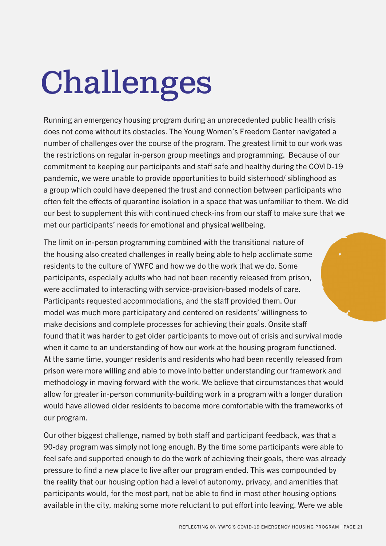## Challenges

Running an emergency housing program during an unprecedented public health crisis does not come without its obstacles. The Young Women's Freedom Center navigated a number of challenges over the course of the program. The greatest limit to our work was the restrictions on regular in-person group meetings and programming. Because of our commitment to keeping our participants and staff safe and healthy during the COVID-19 pandemic, we were unable to provide opportunities to build sisterhood/ siblinghood as a group which could have deepened the trust and connection between participants who often felt the effects of quarantine isolation in a space that was unfamiliar to them. We did our best to supplement this with continued check-ins from our staff to make sure that we met our participants' needs for emotional and physical wellbeing.

The limit on in-person programming combined with the transitional nature of the housing also created challenges in really being able to help acclimate some residents to the culture of YWFC and how we do the work that we do. Some participants, especially adults who had not been recently released from prison, were acclimated to interacting with service-provision-based models of care. Participants requested accommodations, and the staff provided them. Our model was much more participatory and centered on residents' willingness to make decisions and complete processes for achieving their goals. Onsite staff found that it was harder to get older participants to move out of crisis and survival mode when it came to an understanding of how our work at the housing program functioned. At the same time, younger residents and residents who had been recently released from prison were more willing and able to move into better understanding our framework and methodology in moving forward with the work. We believe that circumstances that would allow for greater in-person community-building work in a program with a longer duration would have allowed older residents to become more comfortable with the frameworks of our program.

Our other biggest challenge, named by both staff and participant feedback, was that a 90-day program was simply not long enough. By the time some participants were able to feel safe and supported enough to do the work of achieving their goals, there was already pressure to find a new place to live after our program ended. This was compounded by the reality that our housing option had a level of autonomy, privacy, and amenities that participants would, for the most part, not be able to find in most other housing options available in the city, making some more reluctant to put effort into leaving. Were we able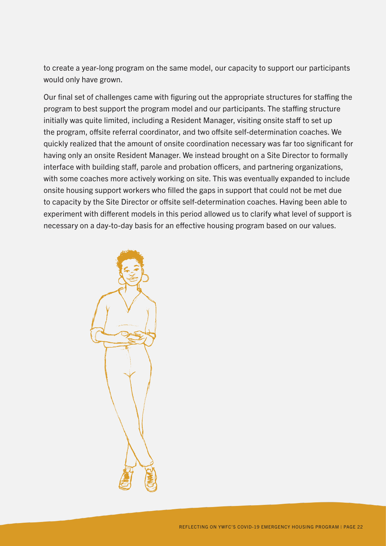to create a year-long program on the same model, our capacity to support our participants would only have grown.

Our final set of challenges came with figuring out the appropriate structures for staffing the program to best support the program model and our participants. The staffing structure initially was quite limited, including a Resident Manager, visiting onsite staff to set up the program, offsite referral coordinator, and two offsite self-determination coaches. We quickly realized that the amount of onsite coordination necessary was far too significant for having only an onsite Resident Manager. We instead brought on a Site Director to formally interface with building staff, parole and probation officers, and partnering organizations, with some coaches more actively working on site. This was eventually expanded to include onsite housing support workers who filled the gaps in support that could not be met due to capacity by the Site Director or offsite self-determination coaches. Having been able to experiment with different models in this period allowed us to clarify what level of support is necessary on a day-to-day basis for an effective housing program based on our values.

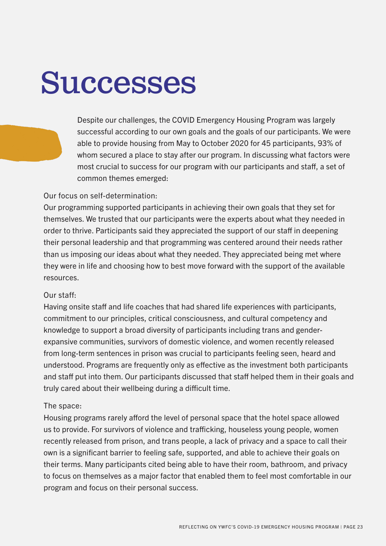## Successes

Despite our challenges, the COVID Emergency Housing Program was largely successful according to our own goals and the goals of our participants. We were able to provide housing from May to October 2020 for 45 participants, 93% of whom secured a place to stay after our program. In discussing what factors were most crucial to success for our program with our participants and staff, a set of common themes emerged:

#### Our focus on self-determination:

Our programming supported participants in achieving their own goals that they set for themselves. We trusted that our participants were the experts about what they needed in order to thrive. Participants said they appreciated the support of our staff in deepening their personal leadership and that programming was centered around their needs rather than us imposing our ideas about what they needed. They appreciated being met where they were in life and choosing how to best move forward with the support of the available resources.

#### Our staff:

Having onsite staff and life coaches that had shared life experiences with participants, commitment to our principles, critical consciousness, and cultural competency and knowledge to support a broad diversity of participants including trans and genderexpansive communities, survivors of domestic violence, and women recently released from long-term sentences in prison was crucial to participants feeling seen, heard and understood. Programs are frequently only as effective as the investment both participants and staff put into them. Our participants discussed that staff helped them in their goals and truly cared about their wellbeing during a difficult time.

#### The space:

Housing programs rarely afford the level of personal space that the hotel space allowed us to provide. For survivors of violence and trafficking, houseless young people, women recently released from prison, and trans people, a lack of privacy and a space to call their own is a significant barrier to feeling safe, supported, and able to achieve their goals on their terms. Many participants cited being able to have their room, bathroom, and privacy to focus on themselves as a major factor that enabled them to feel most comfortable in our program and focus on their personal success.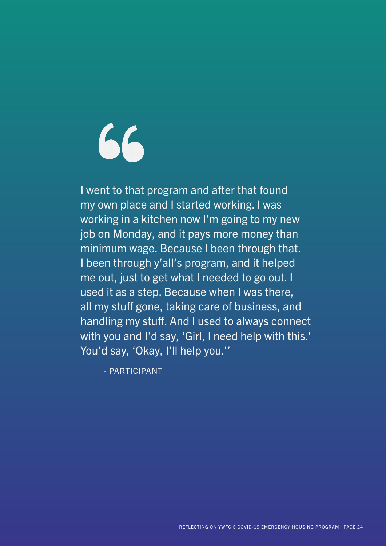66

I went to that program and after that found my own place and I started working. I was working in a kitchen now I'm going to my new job on Monday, and it pays more money than minimum wage. Because I been through that. I been through y'all's program, and it helped me out, just to get what I needed to go out. I used it as a step. Because when I was there, all my stuff gone, taking care of business, and handling my stuff. And I used to always connect with you and I'd say, 'Girl, I need help with this.' You'd say, 'Okay, I'll help you.''

- PARTICIPANT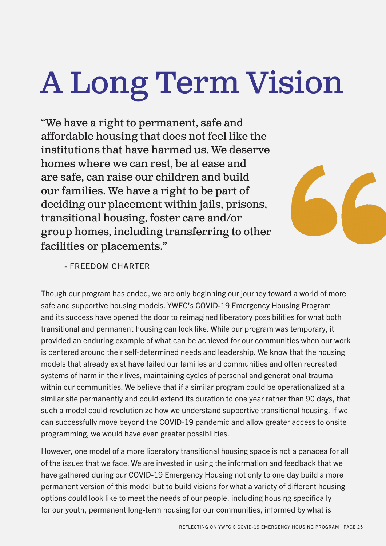## A Long Term Vision

"We have a right to permanent, safe and affordable housing that does not feel like the institutions that have harmed us. We deserve homes where we can rest, be at ease and are safe, can raise our children and build our families. We have a right to be part of deciding our placement within jails, prisons, transitional housing, foster care and/or group homes, including transferring to other facilities or placements."



#### - FREEDOM CHARTER

Though our program has ended, we are only beginning our journey toward a world of more safe and supportive housing models. YWFC's COVID-19 Emergency Housing Program and its success have opened the door to reimagined liberatory possibilities for what both transitional and permanent housing can look like. While our program was temporary, it provided an enduring example of what can be achieved for our communities when our work is centered around their self-determined needs and leadership. We know that the housing models that already exist have failed our families and communities and often recreated systems of harm in their lives, maintaining cycles of personal and generational trauma within our communities. We believe that if a similar program could be operationalized at a similar site permanently and could extend its duration to one year rather than 90 days, that such a model could revolutionize how we understand supportive transitional housing. If we can successfully move beyond the COVID-19 pandemic and allow greater access to onsite programming, we would have even greater possibilities.

However, one model of a more liberatory transitional housing space is not a panacea for all of the issues that we face. We are invested in using the information and feedback that we have gathered during our COVID-19 Emergency Housing not only to one day build a more permanent version of this model but to build visions for what a variety of different housing options could look like to meet the needs of our people, including housing specifically for our youth, permanent long-term housing for our communities, informed by what is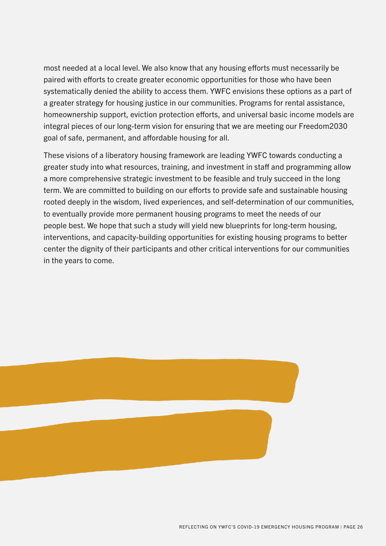most needed at a local level. We also know that any housing efforts must necessarily be paired with efforts to create greater economic opportunities for those who have been systematically denied the ability to access them. YWFC envisions these options as a part of a greater strategy for housing justice in our communities. Programs for rental assistance, homeownership support, eviction protection efforts, and universal basic income models are integral pieces of our long-term vision for ensuring that we are meeting our Freedom2030 goal of safe, permanent, and affordable housing for all.

These visions of a liberatory housing framework are leading YWFC towards conducting a greater study into what resources, training, and investment in staff and programming allow a more comprehensive strategic investment to be feasible and truly succeed in the long term. We are committed to building on our efforts to provide safe and sustainable housing rooted deeply in the wisdom, lived experiences, and self-determination of our communities, to eventually provide more permanent housing programs to meet the needs of our people best. We hope that such a study will yield new blueprints for long-term housing, interventions, and capacity-building opportunities for existing housing programs to better center the dignity of their participants and other critical interventions for our communities in the years to come.

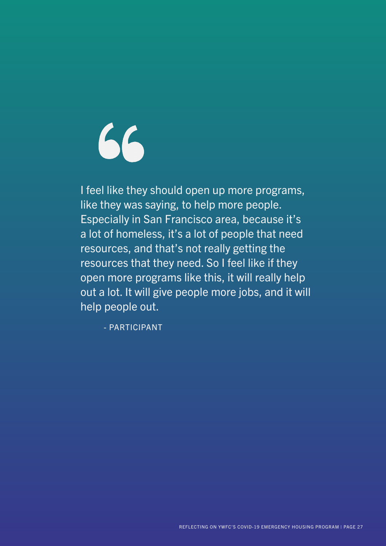66

I feel like they should open up more programs, like they was saying, to help more people. Especially in San Francisco area, because it's a lot of homeless, it's a lot of people that need resources, and that's not really getting the resources that they need. So I feel like if they open more programs like this, it will really help out a lot. It will give people more jobs, and it will help people out.

- PARTICIPANT